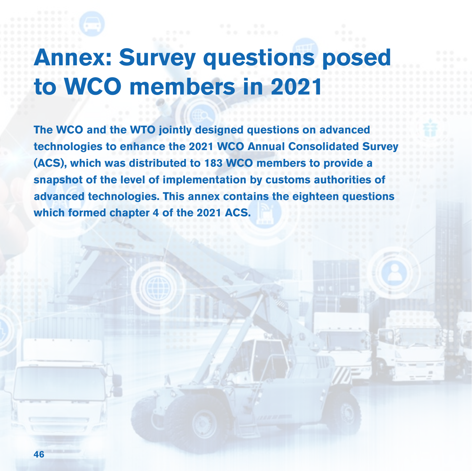## **Annex: Survey questions posed to WCO members in 2021**

**The WCO and the WTO jointly designed questions on advanced technologies to enhance the 2021 WCO Annual Consolidated Survey (ACS), which was distributed to 183 WCO members to provide a snapshot of the level of implementation by customs authorities of advanced technologies. This annex contains the eighteen questions which formed chapter 4 of the 2021 ACS.**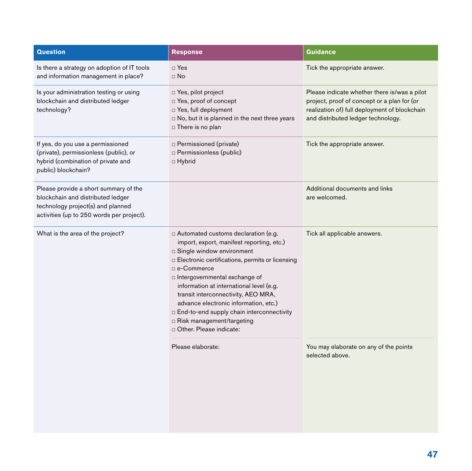| <b>Response</b>                                                                                                                                                                                                                                                                                                                                                                                                                                                                                    | <b>Guidance</b>                                                                                                                                                                    |
|----------------------------------------------------------------------------------------------------------------------------------------------------------------------------------------------------------------------------------------------------------------------------------------------------------------------------------------------------------------------------------------------------------------------------------------------------------------------------------------------------|------------------------------------------------------------------------------------------------------------------------------------------------------------------------------------|
| $\Box$ Yes<br>$\Box$ No                                                                                                                                                                                                                                                                                                                                                                                                                                                                            | Tick the appropriate answer.                                                                                                                                                       |
| $\Box$ Yes, pilot project<br>□ Yes, proof of concept<br>Signal Divide Yes, full deployment<br>□ No, but it is planned in the next three years<br>□ There is no plan                                                                                                                                                                                                                                                                                                                                | Please indicate whether there is/was a pilot<br>project, proof of concept or a plan for (or<br>realization of) full deployment of blockchain<br>and distributed ledger technology. |
| $\Box$ Permissioned (private)<br><b>D</b> Permissionless (public)<br>$\Box$ Hybrid                                                                                                                                                                                                                                                                                                                                                                                                                 | Tick the appropriate answer.                                                                                                                                                       |
|                                                                                                                                                                                                                                                                                                                                                                                                                                                                                                    | Additional documents and links<br>are welcomed.                                                                                                                                    |
| $\Box$ Automated customs declaration (e.g.<br>import, export, manifest reporting, etc.)<br>$\Box$ Single window environment<br>□ Electronic certifications, permits or licensing<br>□ e-Commerce<br>$\Box$ Intergovernmental exchange of<br>information at international level (e.g.<br>transit interconnectivity, AEO MRA,<br>advance electronic information, etc.)<br>□ End-to-end supply chain interconnectivity<br>□ Risk management/targeting<br>Other, Please indicate:<br>Please elaborate: | Tick all applicable answers.<br>You may elaborate on any of the points<br>selected above.                                                                                          |
|                                                                                                                                                                                                                                                                                                                                                                                                                                                                                                    |                                                                                                                                                                                    |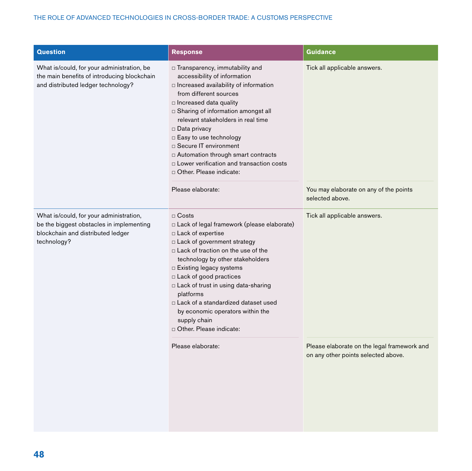| <b>Question</b>                                                                                                                         | <b>Response</b>                                                                                                                                                                                                                                                                                                                                                                                                                                                       | <b>Guidance</b>                                                                           |
|-----------------------------------------------------------------------------------------------------------------------------------------|-----------------------------------------------------------------------------------------------------------------------------------------------------------------------------------------------------------------------------------------------------------------------------------------------------------------------------------------------------------------------------------------------------------------------------------------------------------------------|-------------------------------------------------------------------------------------------|
| What is/could, for your administration, be<br>the main benefits of introducing blockchain<br>and distributed ledger technology?         | □ Transparency, immutability and<br>accessibility of information<br>n Increased availability of information<br>from different sources<br>□ Increased data quality<br>□ Sharing of information amongst all<br>relevant stakeholders in real time<br>$\Box$ Data privacy<br>□ Easy to use technology<br>□ Secure IT environment<br>D Automation through smart contracts<br>□ Lower verification and transaction costs<br>D Other. Please indicate:<br>Please elaborate: | Tick all applicable answers.<br>You may elaborate on any of the points<br>selected above. |
| What is/could, for your administration,<br>be the biggest obstacles in implementing<br>blockchain and distributed ledger<br>technology? | $\Box$ Costs<br>Lack of legal framework (please elaborate)<br>□ Lack of expertise<br>□ Lack of government strategy<br>$\Box$ Lack of traction on the use of the<br>technology by other stakeholders<br>□ Existing legacy systems<br>□ Lack of good practices<br>In Lack of trust in using data-sharing<br>platforms<br>□ Lack of a standardized dataset used<br>by economic operators within the<br>supply chain<br>Other. Please indicate:                           | Tick all applicable answers.                                                              |
|                                                                                                                                         | Please elaborate:                                                                                                                                                                                                                                                                                                                                                                                                                                                     | Please elaborate on the legal framework and<br>on any other points selected above.        |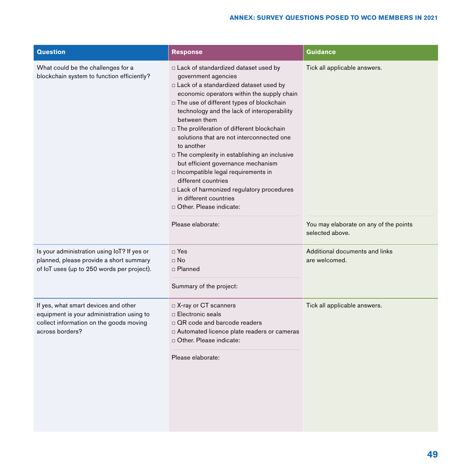## **ANNEX: SURVEY QUESTIONS POSED TO WCO MEMBERS IN 2021**

| <b>Question</b>                                                                                                                                 | <b>Response</b>                                                                                                                                                                                                                                                                                                                                                                                                                                                                                                                                                                                                                                                        | Guidance                                                                                  |
|-------------------------------------------------------------------------------------------------------------------------------------------------|------------------------------------------------------------------------------------------------------------------------------------------------------------------------------------------------------------------------------------------------------------------------------------------------------------------------------------------------------------------------------------------------------------------------------------------------------------------------------------------------------------------------------------------------------------------------------------------------------------------------------------------------------------------------|-------------------------------------------------------------------------------------------|
| What could be the challenges for a<br>blockchain system to function efficiently?                                                                | □ Lack of standardized dataset used by<br>government agencies<br>□ Lack of a standardized dataset used by<br>economic operators within the supply chain<br>□ The use of different types of blockchain<br>technology and the lack of interoperability<br>between them<br>$\Box$ The proliferation of different blockchain<br>solutions that are not interconnected one<br>to another<br>$\Box$ The complexity in establishing an inclusive<br>but efficient governance mechanism<br>n Incompatible legal requirements in<br>different countries<br>a Lack of harmonized regulatory procedures<br>in different countries<br>Other, Please indicate:<br>Please elaborate: | Tick all applicable answers.<br>You may elaborate on any of the points<br>selected above. |
| Is your administration using IoT? If yes or<br>planned, please provide a short summary<br>of loT uses (up to 250 words per project).            | $\Box$ Yes<br>$\Box$ No<br>□ Planned<br>Summary of the project:                                                                                                                                                                                                                                                                                                                                                                                                                                                                                                                                                                                                        | Additional documents and links<br>are welcomed.                                           |
| If yes, what smart devices and other<br>equipment is your administration using to<br>collect information on the goods moving<br>across borders? | □ X-ray or CT scanners<br>□ Electronic seals<br>□ QR code and barcode readers<br>□ Automated licence plate readers or cameras<br>D Other. Please indicate:<br>Please elaborate:                                                                                                                                                                                                                                                                                                                                                                                                                                                                                        | Tick all applicable answers.                                                              |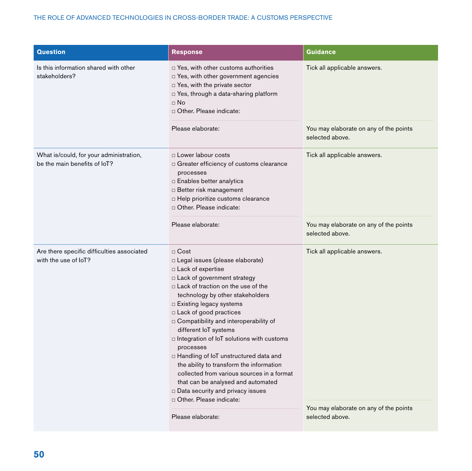## THE ROLE OF ADVANCED TECHNOLOGIES IN CROSS-BORDER TRADE: A CUSTOMS PERSPECTIVE

| <b>Question</b>                                                         | <b>Response</b>                                                                                                                                                                                                                                                                                                                                                                                                                                                                                                                                                                                                                      | <b>Guidance</b>                                                        |
|-------------------------------------------------------------------------|--------------------------------------------------------------------------------------------------------------------------------------------------------------------------------------------------------------------------------------------------------------------------------------------------------------------------------------------------------------------------------------------------------------------------------------------------------------------------------------------------------------------------------------------------------------------------------------------------------------------------------------|------------------------------------------------------------------------|
| Is this information shared with other<br>stakeholders?                  | □ Yes, with other customs authorities<br>D Yes, with other government agencies<br>□ Yes, with the private sector<br>D Yes, through a data-sharing platform<br>$\Box$ No<br>Other, Please indicate:<br>Please elaborate:                                                                                                                                                                                                                                                                                                                                                                                                              | Tick all applicable answers.<br>You may elaborate on any of the points |
|                                                                         |                                                                                                                                                                                                                                                                                                                                                                                                                                                                                                                                                                                                                                      | selected above.                                                        |
| What is/could, for your administration,<br>be the main benefits of loT? | □ Lower labour costs<br>□ Greater efficiency of customs clearance<br>processes<br>$\Box$ Enables better analytics<br><b>Better risk management</b><br>$\Box$ Help prioritize customs clearance<br>Other, Please indicate:                                                                                                                                                                                                                                                                                                                                                                                                            | Tick all applicable answers.                                           |
|                                                                         | Please elaborate:                                                                                                                                                                                                                                                                                                                                                                                                                                                                                                                                                                                                                    | You may elaborate on any of the points<br>selected above.              |
| Are there specific difficulties associated<br>with the use of IoT?      | $\Box$ Cost<br>□ Legal issues (please elaborate)<br>$\Box$ Lack of expertise<br>□ Lack of government strategy<br>$\Box$ Lack of traction on the use of the<br>technology by other stakeholders<br>$\Box$ Existing legacy systems<br>□ Lack of good practices<br>Compatibility and interoperability of<br>different IoT systems<br>□ Integration of IoT solutions with customs<br>processes<br>D Handling of IoT unstructured data and<br>the ability to transform the information<br>collected from various sources in a format<br>that can be analysed and automated<br>Data security and privacy issues<br>Other, Please indicate: | Tick all applicable answers.                                           |
|                                                                         | Please elaborate:                                                                                                                                                                                                                                                                                                                                                                                                                                                                                                                                                                                                                    | You may elaborate on any of the points<br>selected above.              |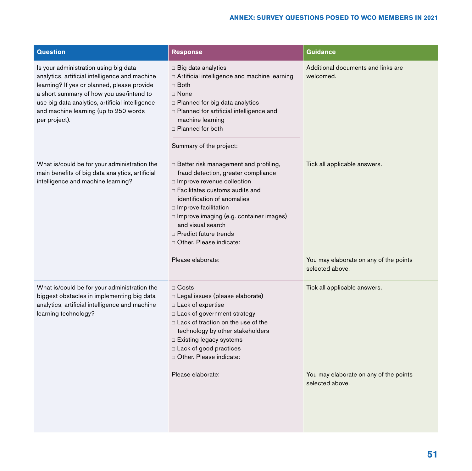| <b>Question</b>                                                                                                                                                                                                                                                                                 | <b>Response</b>                                                                                                                                                                                                                                                                                                                               | <b>Guidance</b>                                                                           |
|-------------------------------------------------------------------------------------------------------------------------------------------------------------------------------------------------------------------------------------------------------------------------------------------------|-----------------------------------------------------------------------------------------------------------------------------------------------------------------------------------------------------------------------------------------------------------------------------------------------------------------------------------------------|-------------------------------------------------------------------------------------------|
| Is your administration using big data<br>analytics, artificial intelligence and machine<br>learning? If yes or planned, please provide<br>a short summary of how you use/intend to<br>use big data analytics, artificial intelligence<br>and machine learning (up to 250 words<br>per project). | $\Box$ Big data analytics<br>□ Artificial intelligence and machine learning<br>$\Box$ Both<br>$\Box$ None<br>$\Box$ Planned for big data analytics<br>D Planned for artificial intelligence and<br>machine learning<br>□ Planned for both<br>Summary of the project:                                                                          | Additional documents and links are<br>welcomed.                                           |
| What is/could be for your administration the<br>main benefits of big data analytics, artificial<br>intelligence and machine learning?                                                                                                                                                           | Better risk management and profiling,<br>fraud detection, greater compliance<br>n Improve revenue collection<br>□ Facilitates customs audits and<br>identification of anomalies<br>$\Box$ Improve facilitation<br>$\Box$ Improve imaging (e.g. container images)<br>and visual search<br>□ Predict future trends<br>D Other. Please indicate: | Tick all applicable answers.                                                              |
|                                                                                                                                                                                                                                                                                                 | Please elaborate:                                                                                                                                                                                                                                                                                                                             | You may elaborate on any of the points<br>selected above.                                 |
| What is/could be for your administration the<br>biggest obstacles in implementing big data<br>analytics, artificial intelligence and machine<br>learning technology?                                                                                                                            | $\Box$ Costs<br>□ Legal issues (please elaborate)<br>□ Lack of expertise<br>$\Box$ Lack of government strategy<br>$\Box$ Lack of traction on the use of the<br>technology by other stakeholders<br>□ Existing legacy systems<br>□ Lack of good practices<br>D Other. Please indicate:<br>Please elaborate:                                    | Tick all applicable answers.<br>You may elaborate on any of the points<br>selected above. |